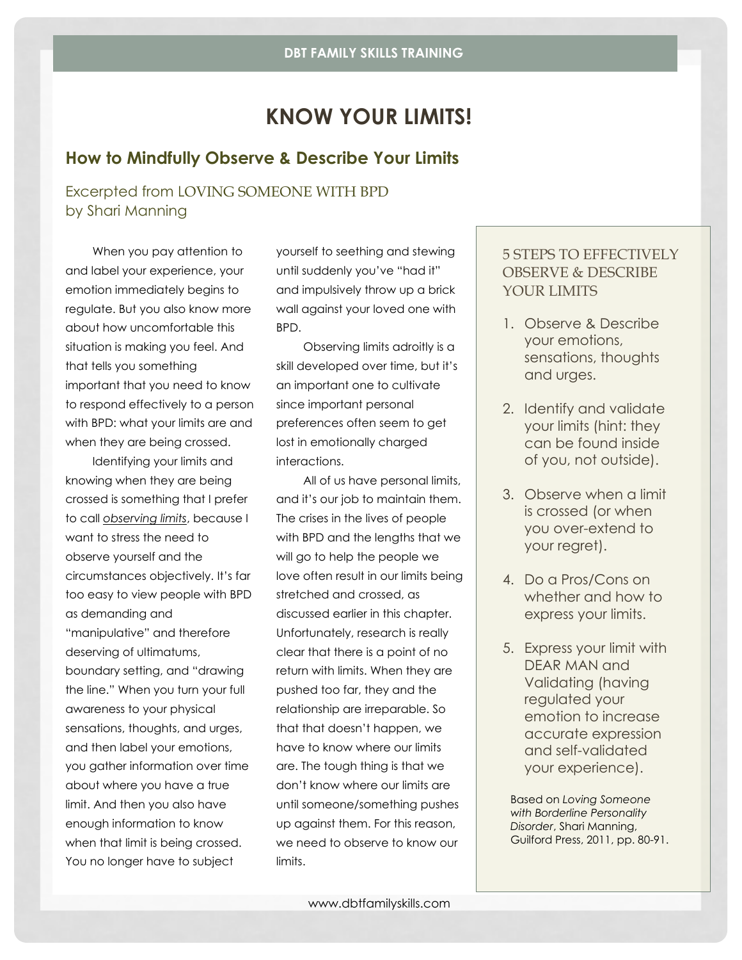#### **DBT FAMILY SKILLS TRAINING**

# **KNOW YOUR LIMITS!**

## **How to Mindfully Observe & Describe Your Limits**

### Excerpted from LOVING SOMEONE WITH BPD by Shari Manning

 When you pay attention to and label your experience, your emotion immediately begins to regulate. But you also know more about how uncomfortable this situation is making you feel. And that tells you something important that you need to know to respond effectively to a person with BPD: what your limits are and when they are being crossed.

 Identifying your limits and knowing when they are being crossed is something that I prefer to call *observing limits*, because I want to stress the need to observe yourself and the circumstances objectively. It's far too easy to view people with BPD as demanding and "manipulative" and therefore deserving of ultimatums, boundary setting, and "drawing the line." When you turn your full awareness to your physical sensations, thoughts, and urges, and then label your emotions, you gather information over time about where you have a true limit. And then you also have enough information to know when that limit is being crossed. You no longer have to subject

yourself to seething and stewing until suddenly you've "had it" and impulsively throw up a brick wall against your loved one with BPD.

 Observing limits adroitly is a skill developed over time, but it's an important one to cultivate since important personal preferences often seem to get lost in emotionally charged interactions.

 All of us have personal limits, and it's our job to maintain them. The crises in the lives of people with BPD and the lengths that we will go to help the people we love often result in our limits being stretched and crossed, as discussed earlier in this chapter. Unfortunately, research is really clear that there is a point of no return with limits. When they are pushed too far, they and the relationship are irreparable. So that that doesn't happen, we have to know where our limits are. The tough thing is that we don't know where our limits are until someone/something pushes up against them. For this reason, we need to observe to know our limits.

### 5 STEPS TO EFFECTIVELY OBSERVE & DESCRIBE YOUR LIMITS

- 1. Observe & Describe your emotions, sensations, thoughts and urges.
- 2. Identify and validate your limits (hint: they can be found inside of you, not outside).
- 3. Observe when a limit is crossed (or when you over-extend to your regret).
- 4. Do a Pros/Cons on whether and how to express your limits.
- 5. Express your limit with DEAR MAN and Validating (having regulated your emotion to increase accurate expression and self-validated your experience).

Based on *Loving Someone with Borderline Personality Disorder*, Shari Manning, Guilford Press, 2011, pp. 80-91.